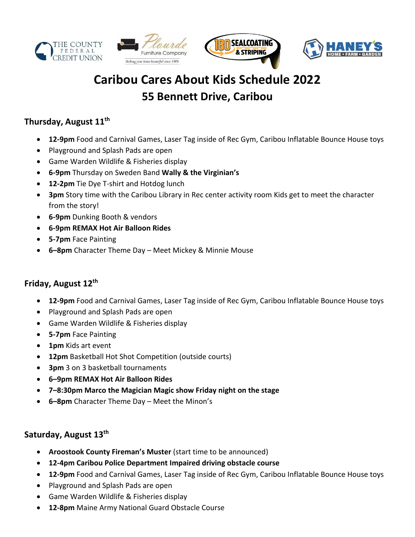







# **Caribou Cares About Kids Schedule 2022 55 Bennett Drive, Caribou**

# **Thursday, August 11th**

- **12-9pm** Food and Carnival Games, Laser Tag inside of Rec Gym, Caribou Inflatable Bounce House toys
- Playground and Splash Pads are open
- Game Warden Wildlife & Fisheries display
- **6-9pm** Thursday on Sweden Band **Wally & the Virginian's**
- **12-2pm** Tie Dye T-shirt and Hotdog lunch
- **3pm** Story time with the Caribou Library in Rec center activity room Kids get to meet the character from the story!
- **6-9pm** Dunking Booth & vendors
- **6-9pm REMAX Hot Air Balloon Rides**
- **5-7pm** Face Painting
- **6–8pm** Character Theme Day Meet Mickey & Minnie Mouse

## **Friday, August 12th**

- **12-9pm** Food and Carnival Games, Laser Tag inside of Rec Gym, Caribou Inflatable Bounce House toys
- Playground and Splash Pads are open
- Game Warden Wildlife & Fisheries display
- **5-7pm** Face Painting
- **1pm** Kids art event
- **12pm** Basketball Hot Shot Competition (outside courts)
- **3pm** 3 on 3 basketball tournaments
- **6–9pm REMAX Hot Air Balloon Rides**
- **7–8:30pm Marco the Magician Magic show Friday night on the stage**
- **6–8pm** Character Theme Day Meet the Minon's

#### **Saturday, August 13th**

- **Aroostook County Fireman's Muster** (start time to be announced)
- **12-4pm Caribou Police Department Impaired driving obstacle course**
- **12-9pm** Food and Carnival Games, Laser Tag inside of Rec Gym, Caribou Inflatable Bounce House toys
- Playground and Splash Pads are open
- Game Warden Wildlife & Fisheries display
- **12-8pm** Maine Army National Guard Obstacle Course